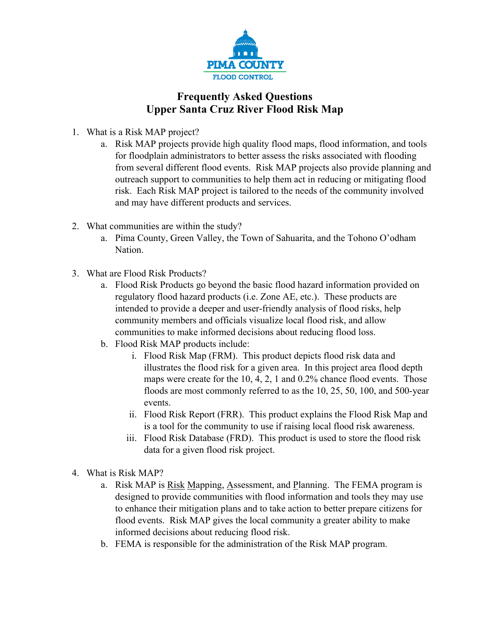

## **Frequently Asked Questions Upper Santa Cruz River Flood Risk Map**

- 1. What is a Risk MAP project?
	- a. Risk MAP projects provide high quality flood maps, flood information, and tools for floodplain administrators to better assess the risks associated with flooding from several different flood events. Risk MAP projects also provide planning and outreach support to communities to help them act in reducing or mitigating flood risk. Each Risk MAP project is tailored to the needs of the community involved and may have different products and services.
- 2. What communities are within the study?
	- a. Pima County, Green Valley, the Town of Sahuarita, and the Tohono O'odham Nation.
- 3. What are Flood Risk Products?
	- a. Flood Risk Products go beyond the basic flood hazard information provided on regulatory flood hazard products (i.e. Zone AE, etc.). These products are intended to provide a deeper and user-friendly analysis of flood risks, help community members and officials visualize local flood risk, and allow communities to make informed decisions about reducing flood loss.
	- b. Flood Risk MAP products include:
		- i. Flood Risk Map (FRM). This product depicts flood risk data and illustrates the flood risk for a given area. In this project area flood depth maps were create for the 10, 4, 2, 1 and 0.2% chance flood events. Those floods are most commonly referred to as the 10, 25, 50, 100, and 500-year events.
		- ii. Flood Risk Report (FRR). This product explains the Flood Risk Map and is a tool for the community to use if raising local flood risk awareness.
		- iii. Flood Risk Database (FRD). This product is used to store the flood risk data for a given flood risk project.
- 4. What is Risk MAP?
	- a. Risk MAP is Risk Mapping, Assessment, and Planning. The FEMA program is designed to provide communities with flood information and tools they may use to enhance their mitigation plans and to take action to better prepare citizens for flood events. Risk MAP gives the local community a greater ability to make informed decisions about reducing flood risk.
	- b. FEMA is responsible for the administration of the Risk MAP program.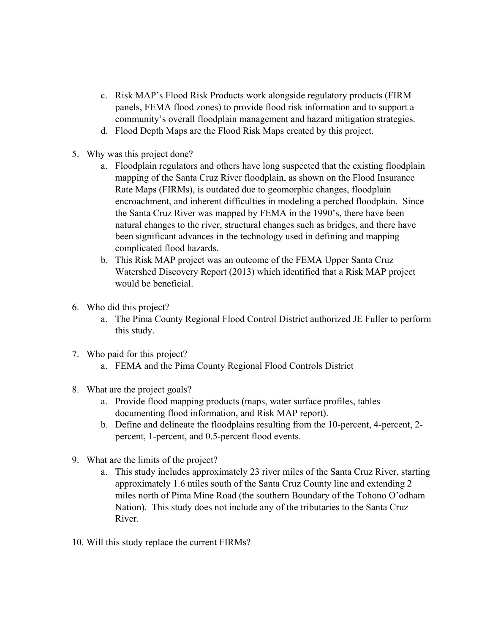- c. Risk MAP's Flood Risk Products work alongside regulatory products (FIRM panels, FEMA flood zones) to provide flood risk information and to support a community's overall floodplain management and hazard mitigation strategies.
- d. Flood Depth Maps are the Flood Risk Maps created by this project.
- 5. Why was this project done?
	- a. Floodplain regulators and others have long suspected that the existing floodplain mapping of the Santa Cruz River floodplain, as shown on the Flood Insurance Rate Maps (FIRMs), is outdated due to geomorphic changes, floodplain encroachment, and inherent difficulties in modeling a perched floodplain. Since the Santa Cruz River was mapped by FEMA in the 1990's, there have been natural changes to the river, structural changes such as bridges, and there have been significant advances in the technology used in defining and mapping complicated flood hazards.
	- b. This Risk MAP project was an outcome of the FEMA Upper Santa Cruz Watershed Discovery Report (2013) which identified that a Risk MAP project would be beneficial.
- 6. Who did this project?
	- a. The Pima County Regional Flood Control District authorized JE Fuller to perform this study.
- 7. Who paid for this project?
	- a. FEMA and the Pima County Regional Flood Controls District
- 8. What are the project goals?
	- a. Provide flood mapping products (maps, water surface profiles, tables documenting flood information, and Risk MAP report).
	- b. Define and delineate the floodplains resulting from the 10-percent, 4-percent, 2 percent, 1-percent, and 0.5-percent flood events.
- 9. What are the limits of the project?
	- a. This study includes approximately 23 river miles of the Santa Cruz River, starting approximately 1.6 miles south of the Santa Cruz County line and extending 2 miles north of Pima Mine Road (the southern Boundary of the Tohono O'odham Nation). This study does not include any of the tributaries to the Santa Cruz River.
- 10. Will this study replace the current FIRMs?